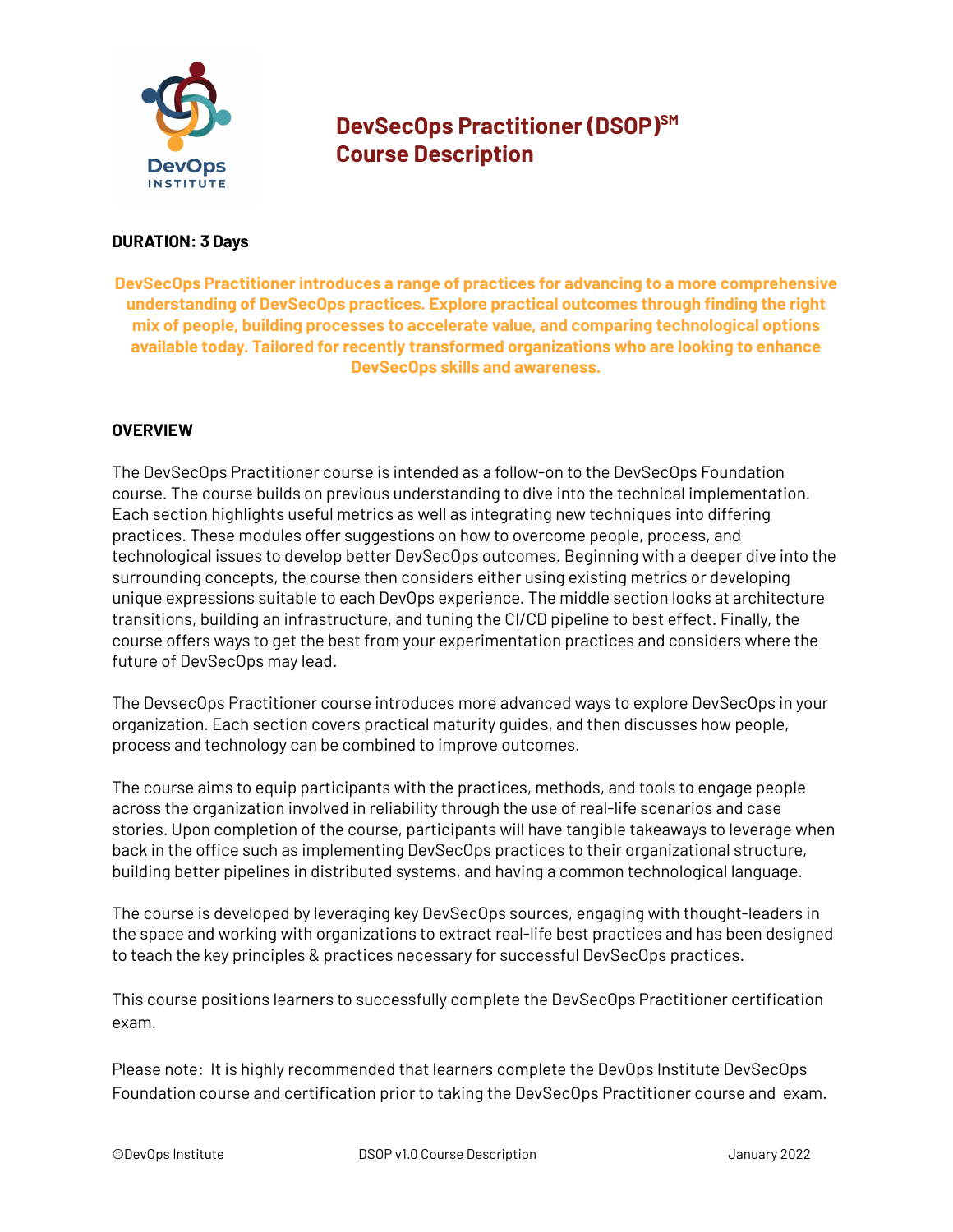

# **DevSecOps Practitioner (DSOP) SM Course Description**

#### **DURATION: 3 Days**

**DevSecOps Practitioner introduces a range of practices for advancing to a more comprehensive understanding of DevSecOps practices. Explore practical outcomes through finding the right mix of people, building processes to accelerate value, and comparing technological options available today. Tailored for recently transformed organizations who are looking to enhance DevSecOps skills and awareness.**

## **OVERVIEW**

The DevSecOps Practitioner course is intended as a follow-on to the DevSecOps Foundation course. The course builds on previous understanding to dive into the technical implementation. Each section highlights useful metrics as well as integrating new techniques into differing practices. These modules offer suggestions on how to overcome people, process, and technological issues to develop better DevSecOps outcomes. Beginning with a deeper dive into the surrounding concepts, the course then considers either using existing metrics or developing unique expressions suitable to each DevOps experience. The middle section looks at architecture transitions, building an infrastructure, and tuning the CI/CD pipeline to best effect. Finally, the course offers ways to get the best from your experimentation practices and considers where the future of DevSecOps may lead.

The DevsecOps Practitioner course introduces more advanced ways to explore DevSecOps in your organization. Each section covers practical maturity guides, and then discusses how people, process and technology can be combined to improve outcomes.

The course aims to equip participants with the practices, methods, and tools to engage people across the organization involved in reliability through the use of real-life scenarios and case stories. Upon completion of the course, participants will have tangible takeaways to leverage when back in the office such as implementing DevSecOps practices to their organizational structure, building better pipelines in distributed systems, and having a common technological language.

The course is developed by leveraging key DevSecOps sources, engaging with thought-leaders in the space and working with organizations to extract real-life best practices and has been designed to teach the key principles & practices necessary for successful DevSecOps practices.

This course positions learners to successfully complete the DevSecOps Practitioner certification exam.

Please note: It is highly recommended that learners complete the DevOps Institute DevSecOps Foundation course and certification prior to taking the DevSecOps Practitioner course and exam.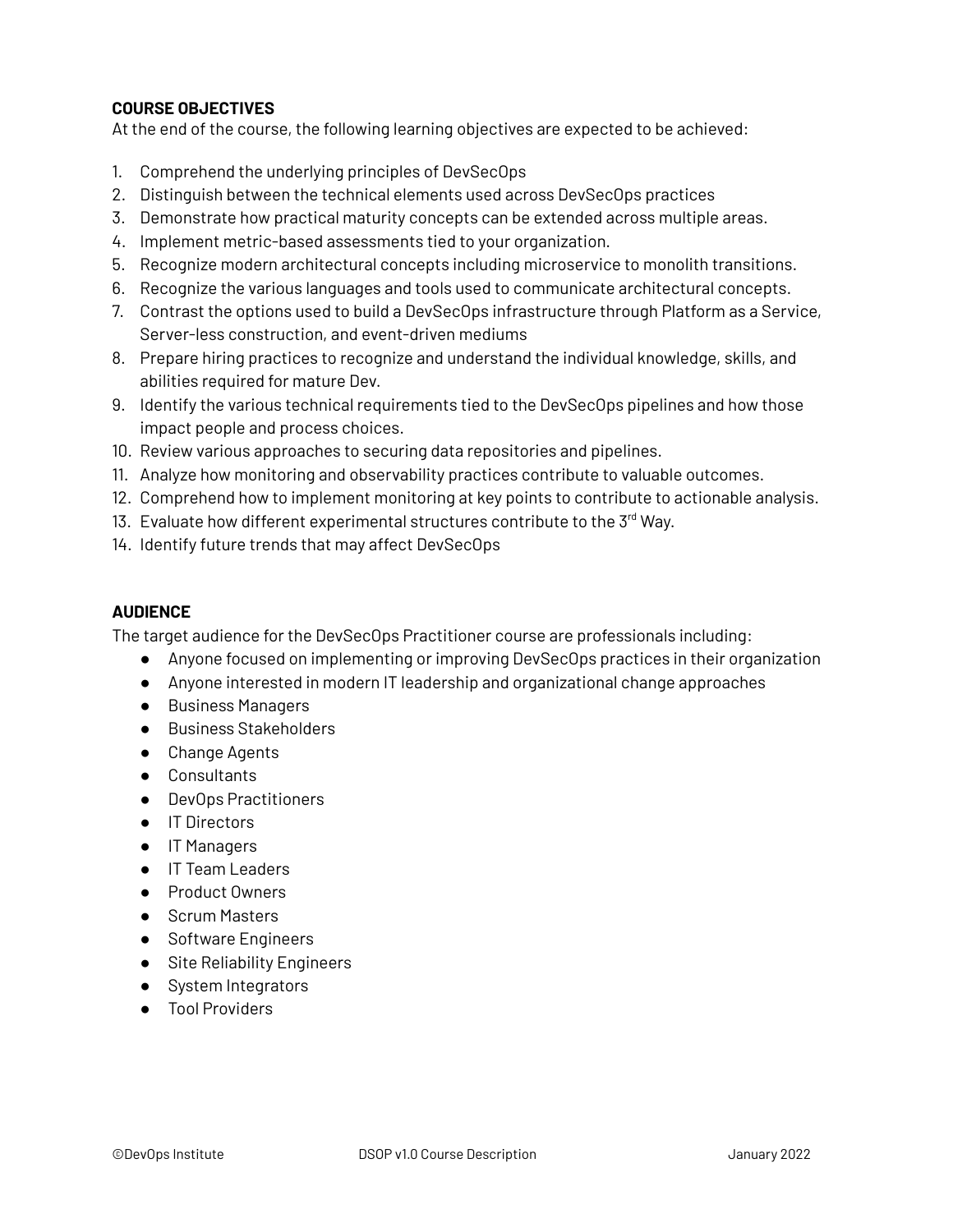# **COURSE OBJECTIVES**

At the end of the course, the following learning objectives are expected to be achieved:

- 1. Comprehend the underlying principles of DevSecOps
- 2. Distinguish between the technical elements used across DevSecOps practices
- 3. Demonstrate how practical maturity concepts can be extended across multiple areas.
- 4. Implement metric-based assessments tied to your organization.
- 5. Recognize modern architectural concepts including microservice to monolith transitions.
- 6. Recognize the various languages and tools used to communicate architectural concepts.
- 7. Contrast the options used to build a DevSecOps infrastructure through Platform as a Service, Server-less construction, and event-driven mediums
- 8. Prepare hiring practices to recognize and understand the individual knowledge, skills, and abilities required for mature Dev.
- 9. Identify the various technical requirements tied to the DevSecOps pipelines and how those impact people and process choices.
- 10. Review various approaches to securing data repositories and pipelines.
- 11. Analyze how monitoring and observability practices contribute to valuable outcomes.
- 12. Comprehend how to implement monitoring at key points to contribute to actionable analysis.
- 13. Evaluate how different experimental structures contribute to the 3rd Way.
- 14. Identify future trends that may affect DevSecOps

## **AUDIENCE**

The target audience for the DevSecOps Practitioner course are professionals including:

- Anyone focused on implementing or improving DevSecOps practices in their organization
- Anyone interested in modern IT leadership and organizational change approaches
- Business Managers
- Business Stakeholders
- Change Agents
- Consultants
- DevOps Practitioners
- IT Directors
- IT Managers
- IT Team Leaders
- Product Owners
- Scrum Masters
- Software Engineers
- Site Reliability Engineers
- System Integrators
- Tool Providers